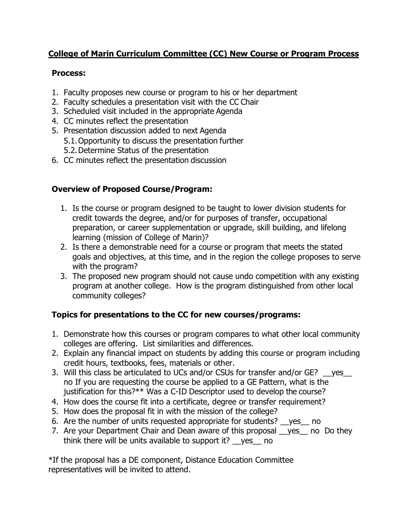## **College of Marin Curriculum Committee (CC) New Course or Program Process**

#### **Process:**

- 1. Faculty proposes new course or program to his or her department
- 2. Faculty schedules a presentation visit with the CC Chair
- 3. Scheduled visit included in the appropriate Agenda
- 4. CC minutes reflect the presentation
- 5. Presentation discussion added to next Agenda
	- 5.1.Opportunity to discuss the presentation further
		- 5.2.Determine Status of the presentation
- 6. CC minutes reflect the presentation discussion

### **Overview of Proposed Course/Program:**

- 1. Is the course or program designed to be taught to lower division students for credit towards the degree, and/or for purposes of transfer, occupational preparation, or career supplementation or upgrade, skill building, and lifelong learning (mission of College of Marin)?
- 2. Is there a demonstrable need for a course or program that meets the stated goals and objectives, at this time, and in the region the college proposes to serve with the program?
- 3. The proposed new program should not cause undo competition with any existing program at another college. How is the program distinguished from other local community colleges?

# **Topics for presentations to the CC for new courses/programs:**

- 1. Demonstrate how this courses or program compares to what other local community colleges are offering. List similarities and differences.
- 2. Explain any financial impact on students by adding this course or program including credit hours, textbooks, fees, materials or other.
- 3. Will this class be articulated to UCs and/or CSUs for transfer and/or GE? ges no If you are requesting the course be applied to a GE Pattern, what is the justification for this?\*\* Was a C-ID Descriptor used to develop the course?
- 4. How does the course fit into a certificate, degree or transfer requirement?
- 5. How does the proposal fit in with the mission of the college?
- 6. Are the number of units requested appropriate for students? \_\_yes\_\_ no
- 7. Are your Department Chair and Dean aware of this proposal yes no Do they think there will be units available to support it? \_\_yes\_\_ no

\*If the proposal has a DE component, Distance Education Committee representatives will be invited to attend.